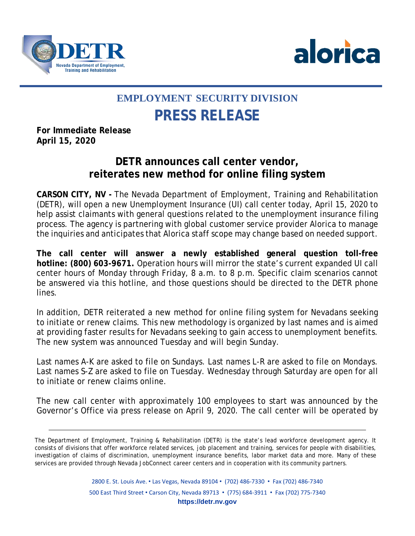



## **EMPLOYMENT SECURITY DIVISION PRESS RELEASE**

**For Immediate Release April 15, 2020**

## **DETR announces call center vendor, reiterates new method for online filing system**

**CARSON CITY, NV -** The Nevada Department of Employment, Training and Rehabilitation (DETR), will open a new Unemployment Insurance (UI) call center today, April 15, 2020 to help assist claimants with general questions related to the unemployment insurance filing process. The agency is partnering with global customer service provider Alorica to manage the inquiries and anticipates that Alorica staff scope may change based on needed support.

**The call center will answer a newly established general question toll-free hotline: (800) 603-9671.** Operation hours will mirror the state's current expanded UI call center hours of Monday through Friday, 8 a.m. to 8 p.m. Specific claim scenarios cannot be answered via this hotline, and those questions should be directed to the DETR phone lines.

In addition, DETR reiterated a new method for online filing system for Nevadans seeking to initiate or renew claims. This new methodology is organized by last names and is aimed at providing faster results for Nevadans seeking to gain access to unemployment benefits. The new system was announced Tuesday and will begin Sunday.

Last names A-K are asked to file on Sundays. Last names L-R are asked to file on Mondays. Last names S-Z are asked to file on Tuesday. Wednesday through Saturday are open for all to initiate or renew claims online.

The new call center with approximately 100 employees to start was announced by the Governor's Office via press release on April 9, 2020. The call center will be operated by

The Department of Employment, Training & Rehabilitation (DETR) is the state's lead workforce development agency. It consists of divisions that offer workforce related services, job placement and training, services for people with disabilities, investigation of claims of discrimination, unemployment insurance benefits, labor market data and more. Many of these services are provided through Nevada JobConnect career centers and in cooperation with its community partners.